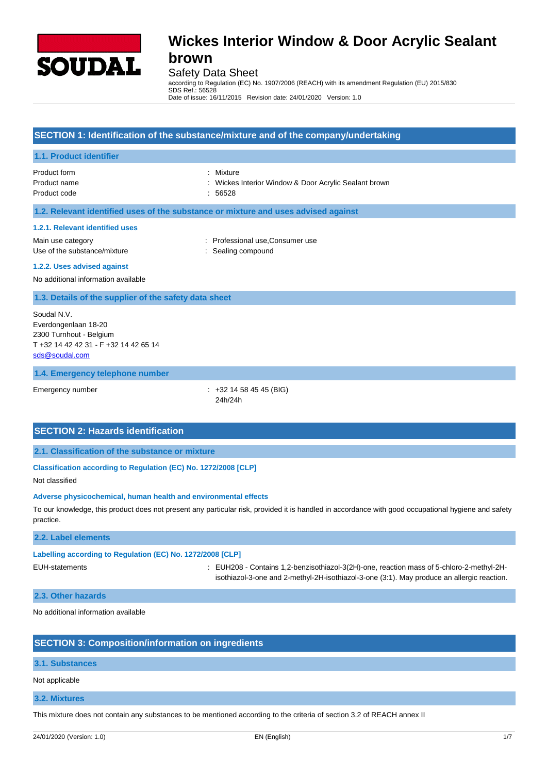

Safety Data Sheet

according to Regulation (EC) No. 1907/2006 (REACH) with its amendment Regulation (EU) 2015/830 SDS Ref.: 56528

Date of issue: 16/11/2015 Revision date: 24/01/2020 Version: 1.0

# **SECTION 1: Identification of the substance/mixture and of the company/undertaking 1.1. Product identifier** Product form : Mixture : Mixture Product name **intervals and the Contract Acrylic Sealant brown** : Wickes Interior Window & Door Acrylic Sealant brown Product code : 56528 **1.2. Relevant identified uses of the substance or mixture and uses advised against 1.2.1. Relevant identified uses** Main use category : Professional use,Consumer use Use of the substance/mixture in the substance in the sealing compound **1.2.2. Uses advised against** No additional information available **1.3. Details of the supplier of the safety data sheet 1.4. Emergency telephone number** Soudal N.V. Everdongenlaan 18-20 2300 Turnhout - Belgium T +32 14 42 42 31 - F +32 14 42 65 14 [sds@soudal.com](mailto:sds@soudal.com)

Emergency number : +32 14 58 45 45 (BIG) 24h/24h

### **SECTION 2: Hazards identification**

**2.1. Classification of the substance or mixture**

**Classification according to Regulation (EC) No. 1272/2008 [CLP]**

Not classified

#### **Adverse physicochemical, human health and environmental effects**

To our knowledge, this product does not present any particular risk, provided it is handled in accordance with good occupational hygiene and safety practice.

#### **2.2. Label elements**

#### **Labelling according to Regulation (EC) No. 1272/2008 [CLP]**

EUH-statements : EUH208 - Contains 1,2-benzisothiazol-3(2H)-one, reaction mass of 5-chloro-2-methyl-2Hisothiazol-3-one and 2-methyl-2H-isothiazol-3-one (3:1). May produce an allergic reaction.

#### **2.3. Other hazards**

No additional information available

### **SECTION 3: Composition/information on ingredients**

#### **3.1. Substances**

Not applicable

#### **3.2. Mixtures**

This mixture does not contain any substances to be mentioned according to the criteria of section 3.2 of REACH annex II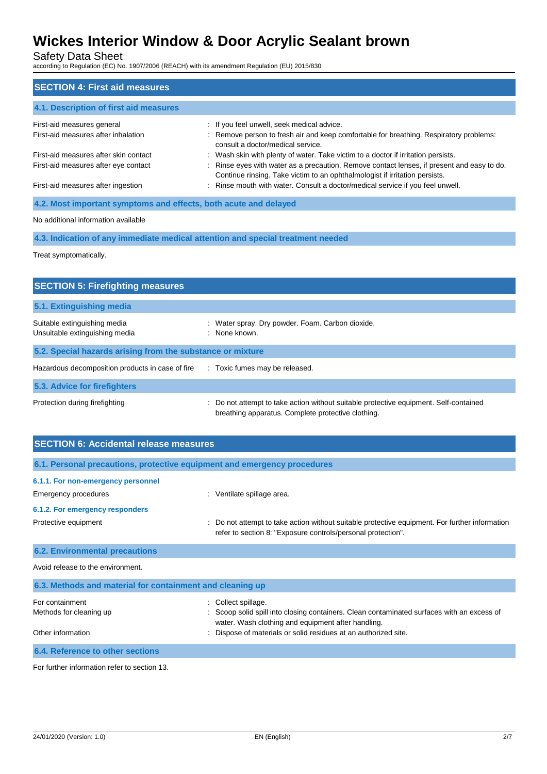Safety Data Sheet

according to Regulation (EC) No. 1907/2006 (REACH) with its amendment Regulation (EU) 2015/830

# **SECTION 4: First aid measures 4.1. Description of first aid measures** First-aid measures general interval in the section of the seek medical advice. First-aid measures after inhalation : Remove person to fresh air and keep comfortable for breathing. Respiratory problems: consult a doctor/medical service. First-aid measures after skin contact : Wash skin with plenty of water. Take victim to a doctor if irritation persists. First-aid measures after eye contact : Rinse eyes with water as a precaution. Remove contact lenses, if present and easy to do. Continue rinsing. Take victim to an ophthalmologist if irritation persists. First-aid measures after ingestion : Rinse mouth with water. Consult a doctor/medical service if you feel unwell. **4.2. Most important symptoms and effects, both acute and delayed**

#### No additional information available

**4.3. Indication of any immediate medical attention and special treatment needed**

Treat symptomatically.

| <b>SECTION 5: Firefighting measures</b>                        |                                                                                                                                             |  |  |  |
|----------------------------------------------------------------|---------------------------------------------------------------------------------------------------------------------------------------------|--|--|--|
| 5.1. Extinguishing media                                       |                                                                                                                                             |  |  |  |
| Suitable extinguishing media<br>Unsuitable extinguishing media | : Water spray. Dry powder. Foam. Carbon dioxide.<br>: None known.                                                                           |  |  |  |
| 5.2. Special hazards arising from the substance or mixture     |                                                                                                                                             |  |  |  |
| Hazardous decomposition products in case of fire               | : Toxic fumes may be released.                                                                                                              |  |  |  |
| 5.3. Advice for firefighters                                   |                                                                                                                                             |  |  |  |
| Protection during firefighting                                 | : Do not attempt to take action without suitable protective equipment. Self-contained<br>breathing apparatus. Complete protective clothing. |  |  |  |

| <b>SECTION 6: Accidental release measures</b>                            |                                                                                                                                                                |  |  |  |
|--------------------------------------------------------------------------|----------------------------------------------------------------------------------------------------------------------------------------------------------------|--|--|--|
| 6.1. Personal precautions, protective equipment and emergency procedures |                                                                                                                                                                |  |  |  |
| 6.1.1. For non-emergency personnel                                       |                                                                                                                                                                |  |  |  |
| Emergency procedures                                                     | : Ventilate spillage area.                                                                                                                                     |  |  |  |
| 6.1.2. For emergency responders                                          |                                                                                                                                                                |  |  |  |
| Protective equipment                                                     | : Do not attempt to take action without suitable protective equipment. For further information<br>refer to section 8: "Exposure controls/personal protection". |  |  |  |
| <b>6.2. Environmental precautions</b>                                    |                                                                                                                                                                |  |  |  |
| Avoid release to the environment.                                        |                                                                                                                                                                |  |  |  |
| 6.3. Methods and material for containment and cleaning up                |                                                                                                                                                                |  |  |  |
| For containment                                                          | Collect spillage.                                                                                                                                              |  |  |  |
| Methods for cleaning up                                                  | Scoop solid spill into closing containers. Clean contaminated surfaces with an excess of<br>water. Wash clothing and equipment after handling.                 |  |  |  |
| Other information                                                        | Dispose of materials or solid residues at an authorized site.                                                                                                  |  |  |  |
| 6.4. Reference to other sections                                         |                                                                                                                                                                |  |  |  |

For further information refer to section 13.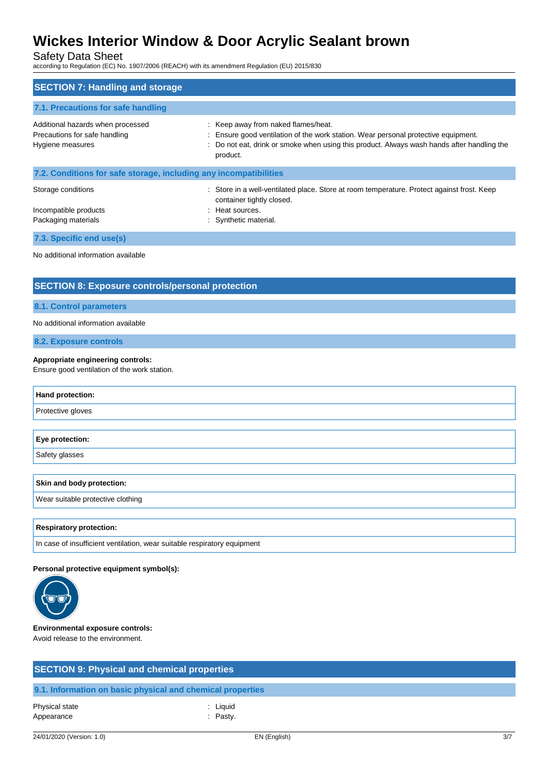Safety Data Sheet

according to Regulation (EC) No. 1907/2006 (REACH) with its amendment Regulation (EU) 2015/830

| <b>SECTION 7: Handling and storage</b>                                                 |                                                                                                                                                                                                                                   |  |  |  |
|----------------------------------------------------------------------------------------|-----------------------------------------------------------------------------------------------------------------------------------------------------------------------------------------------------------------------------------|--|--|--|
| 7.1. Precautions for safe handling                                                     |                                                                                                                                                                                                                                   |  |  |  |
| Additional hazards when processed<br>Precautions for safe handling<br>Hygiene measures | : Keep away from naked flames/heat.<br>: Ensure good ventilation of the work station. Wear personal protective equipment.<br>Do not eat, drink or smoke when using this product. Always wash hands after handling the<br>product. |  |  |  |
| 7.2. Conditions for safe storage, including any incompatibilities                      |                                                                                                                                                                                                                                   |  |  |  |
| Storage conditions<br>Incompatible products<br>Packaging materials                     | : Store in a well-ventilated place. Store at room temperature. Protect against frost. Keep<br>container tightly closed.<br>: Heat sources.<br>: Synthetic material.                                                               |  |  |  |
| 7.3. Specific end use(s)                                                               |                                                                                                                                                                                                                                   |  |  |  |
| No additional information available                                                    |                                                                                                                                                                                                                                   |  |  |  |

## **SECTION 8: Exposure controls/personal protection**

#### **8.1. Control parameters**

No additional information available

**8.2. Exposure controls**

#### **Appropriate engineering controls:**

Ensure good ventilation of the work station.

| Hand protection:                  |
|-----------------------------------|
| Protective gloves                 |
|                                   |
| Eye protection:                   |
| Safety glasses                    |
|                                   |
| <b>Skin and body protection:</b>  |
| Wear suitable protective clothing |
|                                   |

#### **Respiratory protection:**

In case of insufficient ventilation, wear suitable respiratory equipment

#### **Personal protective equipment symbol(s):**



#### **Environmental exposure controls:** Avoid release to the environment.

**SECTION 9: Physical and chemical properties**

### **9.1. Information on basic physical and chemical properties**

| Physical state | : Liquid   |
|----------------|------------|
| Appearance     | $:$ Pasty. |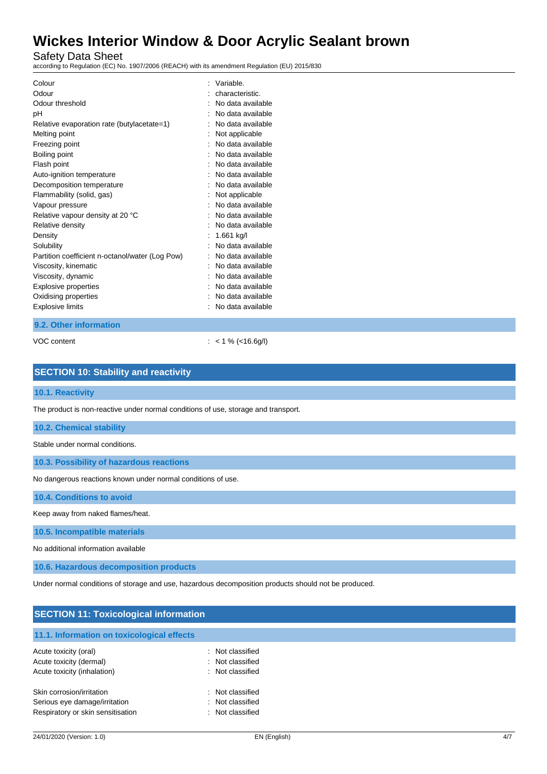Safety Data Sheet

according to Regulation (EC) No. 1907/2006 (REACH) with its amendment Regulation (EU) 2015/830

| Colour                                          | Variable.         |
|-------------------------------------------------|-------------------|
| Odour                                           | characteristic.   |
| Odour threshold                                 | No data available |
| рH                                              | No data available |
| Relative evaporation rate (butylacetate=1)      | No data available |
| Melting point                                   | Not applicable    |
| Freezing point                                  | No data available |
| Boiling point                                   | No data available |
| Flash point                                     | No data available |
| Auto-ignition temperature                       | No data available |
| Decomposition temperature                       | No data available |
| Flammability (solid, gas)                       | Not applicable    |
| Vapour pressure                                 | No data available |
| Relative vapour density at 20 °C                | No data available |
| Relative density                                | No data available |
| Density                                         | 1.661 kg/l        |
| Solubility                                      | No data available |
| Partition coefficient n-octanol/water (Log Pow) | No data available |
| Viscosity, kinematic                            | No data available |
| Viscosity, dynamic                              | No data available |
| Explosive properties                            | No data available |
| Oxidising properties                            | No data available |
| <b>Explosive limits</b>                         | No data available |
|                                                 |                   |

#### **9.2. Other information**

VOC content : < 1 % (<16.6g/l)

| <b>SECTION 10: Stability and reactivity</b>                                                          |
|------------------------------------------------------------------------------------------------------|
| 10.1. Reactivity                                                                                     |
| The product is non-reactive under normal conditions of use, storage and transport.                   |
| <b>10.2. Chemical stability</b>                                                                      |
| Stable under normal conditions.                                                                      |
| 10.3. Possibility of hazardous reactions                                                             |
| No dangerous reactions known under normal conditions of use.                                         |
| 10.4. Conditions to avoid                                                                            |
| Keep away from naked flames/heat.                                                                    |
| 10.5. Incompatible materials                                                                         |
| No additional information available                                                                  |
| 10.6. Hazardous decomposition products                                                               |
| Under normal conditions of storage and use, hazardous decomposition products should not be produced. |

## **SECTION 11: Toxicological information**

### **11.1. Information on toxicological effects**

| Acute toxicity (oral)<br>Acute toxicity (dermal)<br>Acute toxicity (inhalation)                 | : Not classified<br>: Not classified<br>: Not classified |
|-------------------------------------------------------------------------------------------------|----------------------------------------------------------|
| Skin corrosion/irritation<br>Serious eye damage/irritation<br>Respiratory or skin sensitisation | : Not classified<br>: Not classified<br>: Not classified |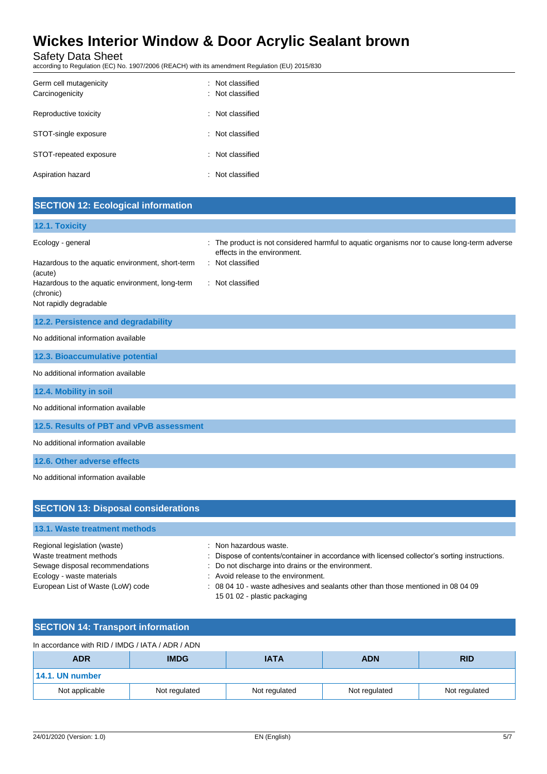Safety Data Sheet

according to Regulation (EC) No. 1907/2006 (REACH) with its amendment Regulation (EU) 2015/830

| Germ cell mutagenicity<br>Carcinogenicity | : Not classified<br>$\therefore$ Not classified |
|-------------------------------------------|-------------------------------------------------|
| Reproductive toxicity                     | : Not classified                                |
| STOT-single exposure                      | : Not classified                                |
| STOT-repeated exposure                    | : Not classified                                |
| Aspiration hazard                         | : Not classified                                |

## **SECTION 12: Ecological information**

| 12.1. Toxicity                                                                                                                                                             |                                                                                                                                                                |
|----------------------------------------------------------------------------------------------------------------------------------------------------------------------------|----------------------------------------------------------------------------------------------------------------------------------------------------------------|
| Ecology - general<br>Hazardous to the aquatic environment, short-term<br>(acute)<br>Hazardous to the aquatic environment, long-term<br>(chronic)<br>Not rapidly degradable | The product is not considered harmful to aquatic organisms nor to cause long-term adverse<br>effects in the environment.<br>Not classified<br>: Not classified |
| 12.2. Persistence and degradability                                                                                                                                        |                                                                                                                                                                |
| No additional information available                                                                                                                                        |                                                                                                                                                                |
| 12.3. Bioaccumulative potential                                                                                                                                            |                                                                                                                                                                |
| No additional information available                                                                                                                                        |                                                                                                                                                                |
| 12.4. Mobility in soil                                                                                                                                                     |                                                                                                                                                                |
| No additional information available                                                                                                                                        |                                                                                                                                                                |
| 12.5. Results of PBT and vPvB assessment                                                                                                                                   |                                                                                                                                                                |
| No additional information available                                                                                                                                        |                                                                                                                                                                |
| 12.6. Other adverse effects                                                                                                                                                |                                                                                                                                                                |
| No additional information available                                                                                                                                        |                                                                                                                                                                |

| <b>SECTION 13: Disposal considerations</b> |                                                                                                                  |
|--------------------------------------------|------------------------------------------------------------------------------------------------------------------|
| 13.1. Waste treatment methods              |                                                                                                                  |
| Regional legislation (waste)               | : Non hazardous waste.                                                                                           |
| Waste treatment methods                    | : Dispose of contents/container in accordance with licensed collector's sorting instructions.                    |
| Sewage disposal recommendations            | : Do not discharge into drains or the environment.                                                               |
| Ecology - waste materials                  | : Avoid release to the environment.                                                                              |
| European List of Waste (LoW) code          | : 08 04 10 - waste adhesives and sealants other than those mentioned in 08 04 09<br>15 01 02 - plastic packaging |

## **SECTION 14: Transport information**

| In accordance with RID / IMDG / IATA / ADR / ADN       |               |               |               |               |
|--------------------------------------------------------|---------------|---------------|---------------|---------------|
| <b>IMDG</b><br><b>ADN</b><br><b>ADR</b><br><b>IATA</b> |               |               |               | <b>RID</b>    |
| $14.1.$ UN number                                      |               |               |               |               |
| Not applicable                                         | Not regulated | Not regulated | Not regulated | Not regulated |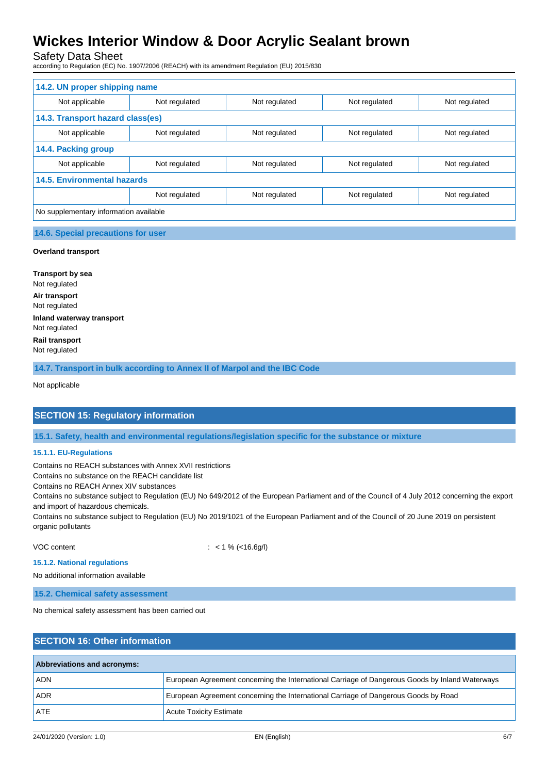Safety Data Sheet

according to Regulation (EC) No. 1907/2006 (REACH) with its amendment Regulation (EU) 2015/830

| 14.2. UN proper shipping name          |               |               |               |               |  |
|----------------------------------------|---------------|---------------|---------------|---------------|--|
| Not applicable                         | Not regulated | Not regulated | Not regulated | Not regulated |  |
| 14.3. Transport hazard class(es)       |               |               |               |               |  |
| Not applicable                         | Not regulated | Not regulated | Not regulated | Not regulated |  |
| 14.4. Packing group                    |               |               |               |               |  |
| Not applicable                         | Not regulated | Not regulated | Not regulated | Not regulated |  |
| <b>14.5. Environmental hazards</b>     |               |               |               |               |  |
|                                        | Not regulated | Not regulated | Not regulated | Not regulated |  |
| No supplementary information available |               |               |               |               |  |

### **14.6. Special precautions for user**

#### **Overland transport**

**Transport by sea** Not regulated **Air transport** Not regulated **Inland waterway transport** Not regulated **Rail transport** Not regulated

**14.7. Transport in bulk according to Annex II of Marpol and the IBC Code**

Not applicable

### **SECTION 15: Regulatory information**

**15.1. Safety, health and environmental regulations/legislation specific for the substance or mixture**

#### **15.1.1. EU-Regulations**

Contains no REACH substances with Annex XVII restrictions

Contains no substance on the REACH candidate list

Contains no REACH Annex XIV substances

Contains no substance subject to Regulation (EU) No 649/2012 of the European Parliament and of the Council of 4 July 2012 concerning the export and import of hazardous chemicals.

Contains no substance subject to Regulation (EU) No 2019/1021 of the European Parliament and of the Council of 20 June 2019 on persistent organic pollutants

VOC content : < 1 % (<16.6g/l)

**15.1.2. National regulations**

No additional information available

**15.2. Chemical safety assessment**

No chemical safety assessment has been carried out

| <b>SECTION 16: Other information</b> |                                                                                                 |  |  |  |
|--------------------------------------|-------------------------------------------------------------------------------------------------|--|--|--|
| Abbreviations and acronyms:          |                                                                                                 |  |  |  |
| ADN                                  | European Agreement concerning the International Carriage of Dangerous Goods by Inland Waterways |  |  |  |
| <b>ADR</b>                           | European Agreement concerning the International Carriage of Dangerous Goods by Road             |  |  |  |
| <b>ATE</b>                           | <b>Acute Toxicity Estimate</b>                                                                  |  |  |  |